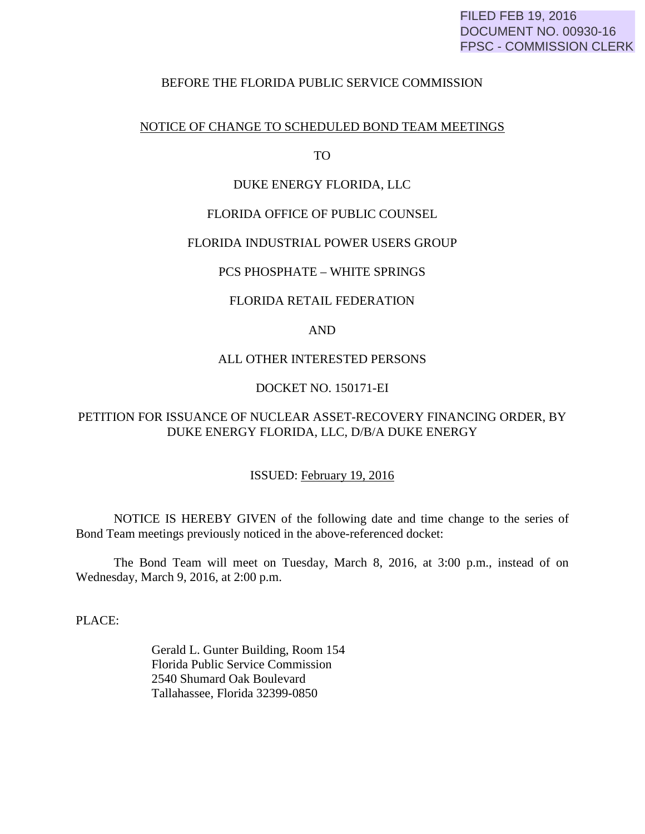## FILED FEB 19, 2016 DOCUMENT NO. 00930-16 FPSC - COMMISSION CLERK

#### BEFORE THE FLORIDA PUBLIC SERVICE COMMISSION

#### NOTICE OF CHANGE TO SCHEDULED BOND TEAM MEETINGS

TO

# DUKE ENERGY FLORIDA, LLC

# FLORIDA OFFICE OF PUBLIC COUNSEL

#### FLORIDA INDUSTRIAL POWER USERS GROUP

# PCS PHOSPHATE – WHITE SPRINGS

# FLORIDA RETAIL FEDERATION

# AND

# ALL OTHER INTERESTED PERSONS

# DOCKET NO. 150171-EI

# PETITION FOR ISSUANCE OF NUCLEAR ASSET-RECOVERY FINANCING ORDER, BY DUKE ENERGY FLORIDA, LLC, D/B/A DUKE ENERGY

#### ISSUED: February 19, 2016

 NOTICE IS HEREBY GIVEN of the following date and time change to the series of Bond Team meetings previously noticed in the above-referenced docket:

 The Bond Team will meet on Tuesday, March 8, 2016, at 3:00 p.m., instead of on Wednesday, March 9, 2016, at 2:00 p.m.

PLACE:

 Gerald L. Gunter Building, Room 154 Florida Public Service Commission 2540 Shumard Oak Boulevard Tallahassee, Florida 32399-0850